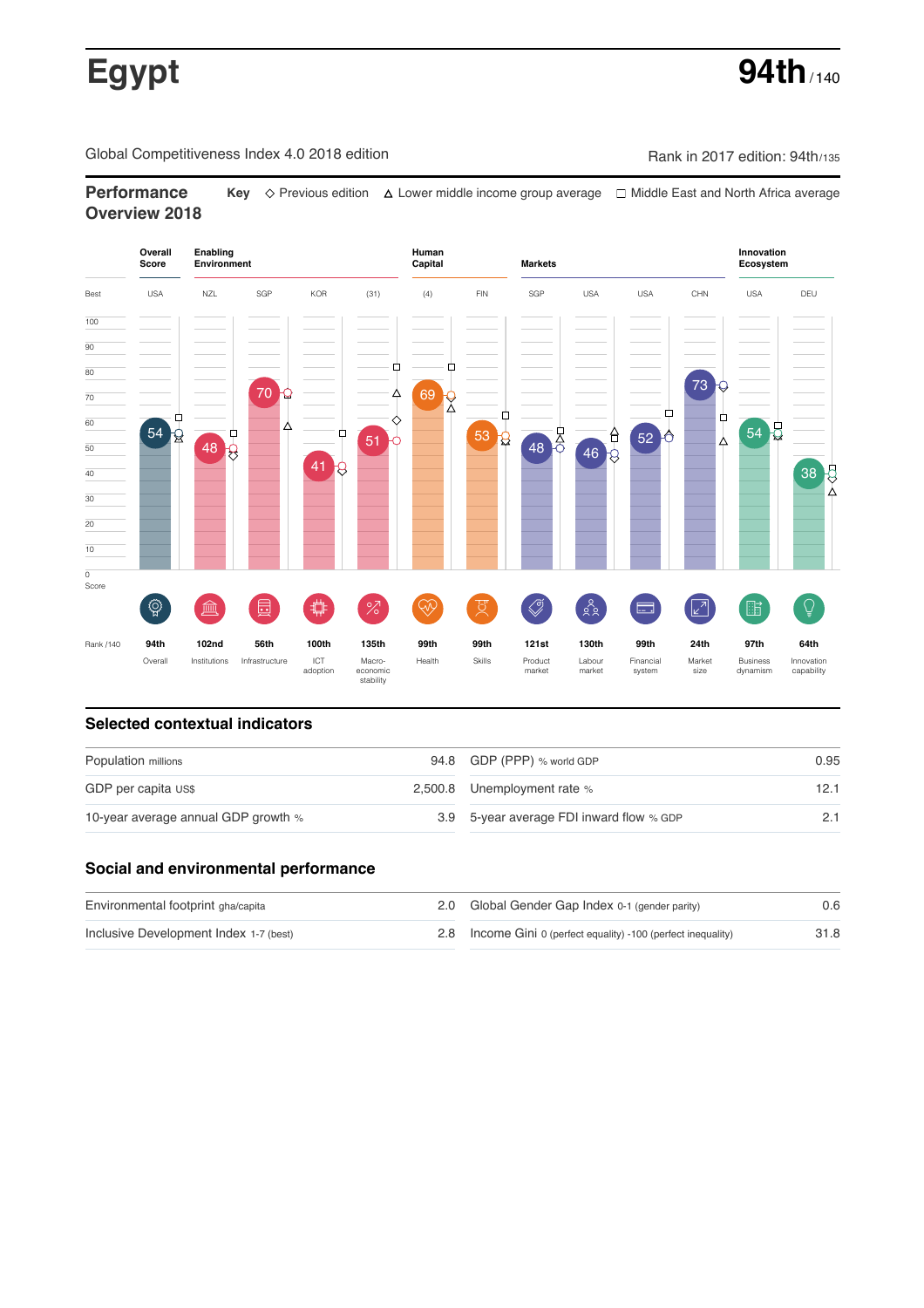# **Egypt** 94th<sub>/140</sub>

Global Competitiveness Index 4.0 2018 edition Company Rank in 2017 edition: 94th/135

**Performance Key** Previous edition Lower middle income group average Middle East and North Africa average **Overview 2018**



## **Selected contextual indicators**

| Population millions                 | 94.8 GDP (PPP) % world GDP               | 0.95 |  |
|-------------------------------------|------------------------------------------|------|--|
| GDP per capita US\$                 | 2,500.8 Unemployment rate %              |      |  |
| 10-year average annual GDP growth % | 3.9 5-year average FDI inward flow % GDP |      |  |

# **Social and environmental performance**

| Environmental footprint gha/capita     | 2.0 Global Gender Gap Index 0-1 (gender parity)                | 0.6  |
|----------------------------------------|----------------------------------------------------------------|------|
| Inclusive Development Index 1-7 (best) | 2.8 Income Gini 0 (perfect equality) -100 (perfect inequality) | 31.8 |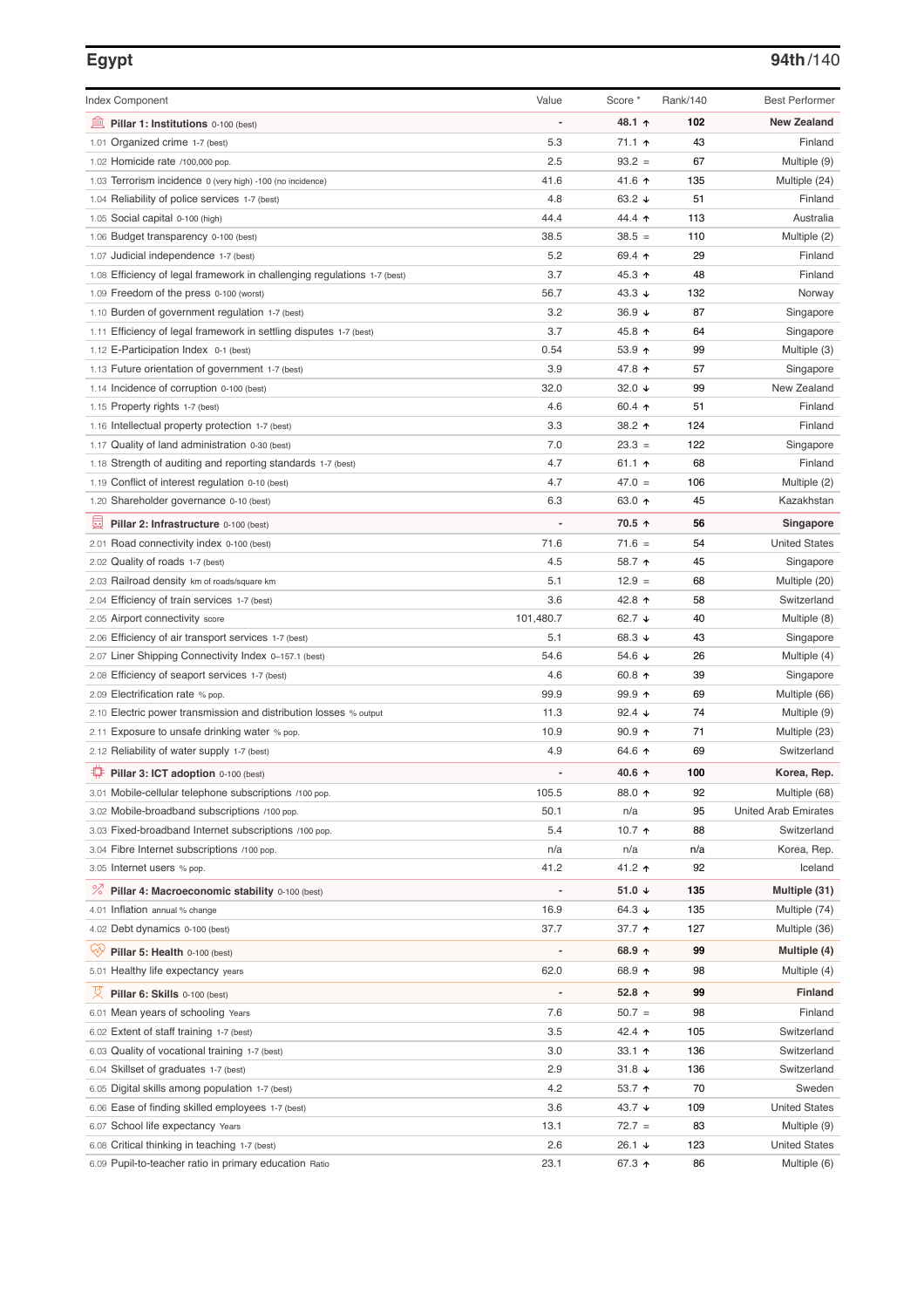### **Egypt 94th**/140

| <b>Index Component</b>                                                   | Value          | Score *         | Rank/140 | <b>Best Performer</b>       |
|--------------------------------------------------------------------------|----------------|-----------------|----------|-----------------------------|
| 寙<br>Pillar 1: Institutions 0-100 (best)                                 |                | 48.1 ↑          | 102      | <b>New Zealand</b>          |
| Organized crime 1-7 (best)<br>1.01                                       | 5.3            | 71.1 ተ          | 43       | Finland                     |
| 1.02 Homicide rate /100,000 pop.                                         | 2.5            | $93.2 =$        | 67       | Multiple (9)                |
| 1.03 Terrorism incidence 0 (very high) -100 (no incidence)               | 41.6           | 41.6 ↑          | 135      | Multiple (24)               |
| 1.04 Reliability of police services 1-7 (best)                           | 4.8            | 63.2 $\sqrt{ }$ | 51       | Finland                     |
| 1.05 Social capital 0-100 (high)                                         | 44.4           | 44.4 1          | 113      | Australia                   |
| 1.06 Budget transparency 0-100 (best)                                    | 38.5           | $38.5 =$        | 110      | Multiple (2)                |
| 1.07 Judicial independence 1-7 (best)                                    | 5.2            | 69.4 ↑          | 29       | Finland                     |
| 1.08 Efficiency of legal framework in challenging regulations 1-7 (best) | 3.7            | 45.3 ↑          | 48       | Finland                     |
| 1.09 Freedom of the press 0-100 (worst)                                  | 56.7           | 43.3 $\sqrt{ }$ | 132      | Norway                      |
| 1.10 Burden of government regulation 1-7 (best)                          | 3.2            | $36.9 +$        | 87       | Singapore                   |
| 1.11 Efficiency of legal framework in settling disputes 1-7 (best)       | 3.7            | 45.8 ↑          | 64       | Singapore                   |
| 1.12 E-Participation Index 0-1 (best)                                    | 0.54           | $53.9$ 1        | 99       | Multiple (3)                |
| 1.13 Future orientation of government 1-7 (best)                         | 3.9            | 47.8 ↑          | 57       | Singapore                   |
| 1.14 Incidence of corruption 0-100 (best)                                | 32.0           | 32.0 $\sqrt{ }$ | 99       | New Zealand                 |
| 1.15 Property rights 1-7 (best)                                          | 4.6            | 60.4 $\uparrow$ | 51       | Finland                     |
| 1.16 Intellectual property protection 1-7 (best)                         | 3.3            | 38.2 ↑          | 124      | Finland                     |
| 1.17 Quality of land administration 0-30 (best)                          | 7.0            | $23.3 =$        | 122      | Singapore                   |
| 1.18 Strength of auditing and reporting standards 1-7 (best)             | 4.7            | 61.1 $\uparrow$ | 68       | Finland                     |
| 1.19 Conflict of interest regulation 0-10 (best)                         | 4.7            | $47.0 =$        | 106      | Multiple (2)                |
| 1.20 Shareholder governance 0-10 (best)                                  | 6.3            | 63.0 个          | 45       | Kazakhstan                  |
| 員<br>Pillar 2: Infrastructure 0-100 (best)                               |                | 70.5 ↑          | 56       | Singapore                   |
| 2.01 Road connectivity index 0-100 (best)                                | 71.6           | $71.6 =$        | 54       | <b>United States</b>        |
| 2.02 Quality of roads 1-7 (best)                                         | 4.5            | 58.7 ↑          | 45       | Singapore                   |
| 2.03 Railroad density km of roads/square km                              | 5.1            | $12.9 =$        | 68       | Multiple (20)               |
| 2.04 Efficiency of train services 1-7 (best)                             | 3.6            | 42.8 ↑          | 58       | Switzerland                 |
| 2.05 Airport connectivity score                                          | 101,480.7      | 62.7 $\sqrt{ }$ | 40       | Multiple (8)                |
| 2.06 Efficiency of air transport services 1-7 (best)                     | 5.1            | 68.3 $\sqrt{ }$ | 43       | Singapore                   |
| 2.07 Liner Shipping Connectivity Index 0-157.1 (best)                    | 54.6           | 54.6 $\sqrt{ }$ | 26       | Multiple (4)                |
| 2.08 Efficiency of seaport services 1-7 (best)                           | 4.6            | 60.8 $\uparrow$ | 39       | Singapore                   |
| 2.09 Electrification rate % pop.                                         | 99.9           | $99.9$ 1        | 69       | Multiple (66)               |
| 2.10 Electric power transmission and distribution losses % output        | 11.3           | 92.4 $\sqrt{ }$ | 74       | Multiple (9)                |
| 2.11 Exposure to unsafe drinking water % pop.                            | 10.9           | $90.9$ 1        | 71       | Multiple (23)               |
| 2.12 Reliability of water supply 1-7 (best)                              | 4.9            | 64.6 ↑          | 69       | Switzerland                 |
| O<br>Pillar 3: ICT adoption 0-100 (best)                                 |                | 40.6 ↑          | 100      | Korea, Rep.                 |
| 3.01 Mobile-cellular telephone subscriptions /100 pop.                   | 105.5          | 88.0 个          | 92       | Multiple (68)               |
| 3.02 Mobile-broadband subscriptions /100 pop.                            | 50.1           | n/a             | 95       | <b>United Arab Emirates</b> |
| 3.03 Fixed-broadband Internet subscriptions /100 pop.                    | 5.4            | 10.7 $\uparrow$ | 88       | Switzerland                 |
| 3.04 Fibre Internet subscriptions /100 pop.                              | n/a            | n/a             | n/a      | Korea, Rep.                 |
| 3.05 Internet users % pop.                                               | 41.2           | 41.2 ↑          | 92       | Iceland                     |
| ℅<br>Pillar 4: Macroeconomic stability 0-100 (best)                      |                | 51.0 $\sqrt{ }$ | 135      | Multiple (31)               |
| 4.01 Inflation annual % change                                           | 16.9           | 64.3 $\sqrt{ }$ | 135      | Multiple (74)               |
| 4.02 Debt dynamics 0-100 (best)                                          | 37.7           | 37.7 1          | 127      | Multiple (36)               |
| Qv<br>Pillar 5: Health 0-100 (best)                                      | -              | 68.9 $\uparrow$ | 99       | Multiple (4)                |
| 5.01 Healthy life expectancy years                                       | 62.0           | 68.9 个          | 98       | Multiple (4)                |
| 섯<br>Pillar 6: Skills 0-100 (best)                                       | $\overline{a}$ | 52.8 $\uparrow$ | 99       | Finland                     |
| 6.01 Mean years of schooling Years                                       | 7.6            | $50.7 =$        | 98       | Finland                     |
| 6.02 Extent of staff training 1-7 (best)                                 | 3.5            | 42.4 ↑          | 105      | Switzerland                 |
| 6.03 Quality of vocational training 1-7 (best)                           | 3.0            | 33.1 $\uparrow$ | 136      | Switzerland                 |
| 6.04 Skillset of graduates 1-7 (best)                                    | 2.9            | $31.8 +$        | 136      | Switzerland                 |
| 6.05 Digital skills among population 1-7 (best)                          | 4.2            | 53.7 $\uparrow$ | 70       | Sweden                      |
| 6.06 Ease of finding skilled employees 1-7 (best)                        | 3.6            | 43.7 $\sqrt{ }$ | 109      | <b>United States</b>        |
| 6.07 School life expectancy Years                                        | 13.1           | $72.7 =$        | 83       | Multiple (9)                |
| 6.08 Critical thinking in teaching 1-7 (best)                            | 2.6            | 26.1 ↓          | 123      | <b>United States</b>        |
| 6.09 Pupil-to-teacher ratio in primary education Ratio                   | 23.1           | 67.3 ↑          | 86       | Multiple (6)                |